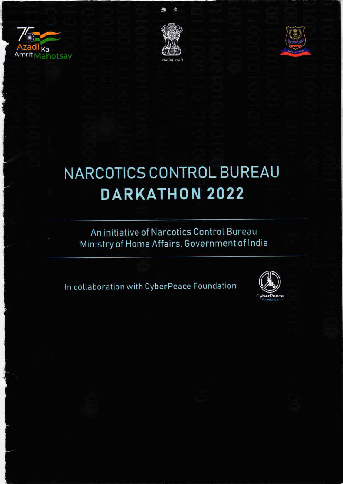



À

 $\mathbf{A}$ 



## **NARCOTICS CONTROL BUREAU DARKATHON 2022**

#### An initiative of Narcotics Control Bureau Ministry of Home Affairs, Government of India

In collaboration with CyberPeace Foundation

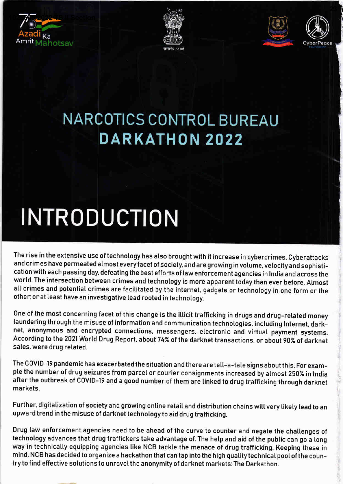







### NARCOTICS CONTROL BUREAU DARKATHON 2022

# **INTRODUCTION**

The rise in the extensive use of technology has also brought with it increase in cybercrimes. Cyberattacks and crimes have permeated almost everyfacet of society, and are growing in votume, velocityand sophistication with each passing day, defeating the best efforts of law enforcement agencies in India and across the world. The intersection between crimes and technology is more apparent today than ever before. Almost all crimes and potential crimes are facilitated by the internet, gadgets or technology in one form or the other, or at least have an investigative lead rooted in technology.

One of the most concerning facet of this change is the illicit trafficking in drugs and drug-related money laundering through the misuse of information and communication technologies, inctuding lnternet, darknet, anonymous and encrypted connections, messengers, electronic and virtuat payment systems. According to the 2021 Wortd Drug Report, about 74% of the darknet transactions, or aboui g0% of darknet sales, were drug related.

The COVID-19 pandemic has exacerbated the situation and there are tell-a-tale signs about this. For example the number of drug seizures from parcel or courier consignments increased by almost 250% in India after the outbreak of C0VID-19 and a good number of them are linked to drug trafficking through darknet markets.

Further, digitatization of society and growing online retaiI and distribution chains witt very tikely lead to an upward trend in the misuse of darknet technology to aid drug trafficking.

Drug law enforcement agencies need to be ahead of the curve to counter and negate the chaltenges of technology advances that drug traffickers take advantage of. The hetp and aid of the public can go a tong way in technically equipping agencies tike NCB tackle the menace of drug trafficking. Keeping these in mind, NCB has decided to organize a hackathon that can tap into the high quality technical poot of the country to find effective solutions to unravel the anonymity of darknet markets: The Darkathon.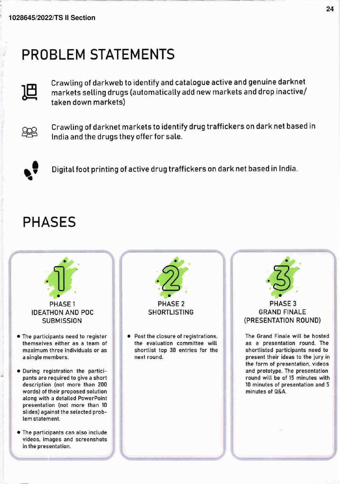#### PROBLEM STATEMENTS



,

Crawting of darkweb to identify and catalogue active and genuine darknet markets selling drugs (automatically add new markets and drop inactive/ taken down markets)



Crawting of darknet markets to identify drug traff ickers on dark net based in lndia and the drugs they offer for sate.



Digital foot printing of active drug traffickers on dark net based in India.

#### PHASES

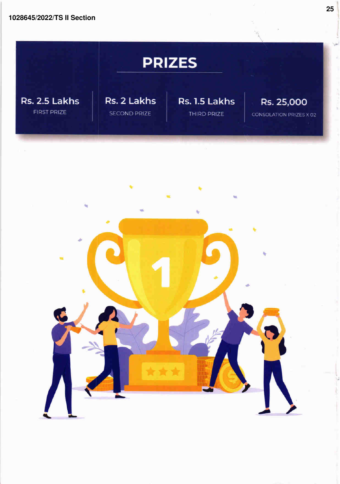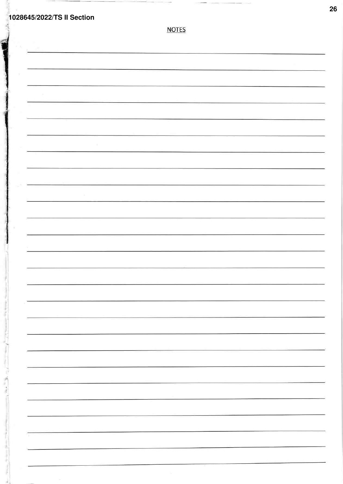**1028645/2022/TS II Section** NOTES  $\gamma$ **I** I

**26**